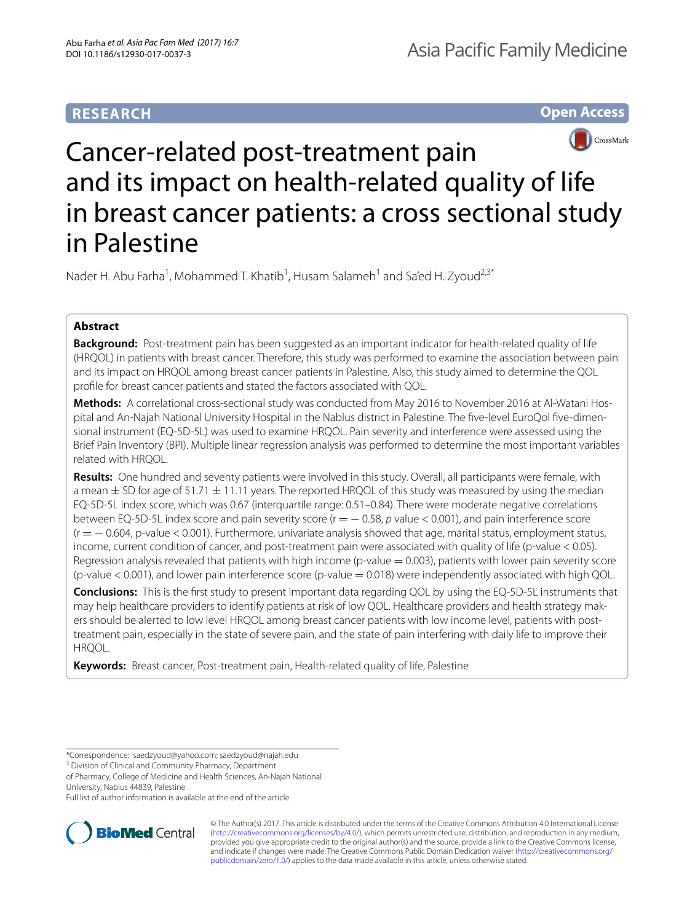# **RESEARCH**

**Open Access**



# Cancer-related post-treatment pain and its impact on health-related quality of life in breast cancer patients: a cross sectional study in Palestine

Nader H. Abu Farha<sup>1</sup>, Mohammed T. Khatib<sup>1</sup>, Husam Salameh<sup>1</sup> and Sa'ed H. Zyoud<sup>2,3\*</sup>

## **Abstract**

**Background:** Post-treatment pain has been suggested as an important indicator for health-related quality of life (HRQOL) in patients with breast cancer. Therefore, this study was performed to examine the association between pain and its impact on HRQOL among breast cancer patients in Palestine. Also, this study aimed to determine the QOL profle for breast cancer patients and stated the factors associated with QOL.

**Methods:** A correlational cross-sectional study was conducted from May 2016 to November 2016 at Al-Watani Hospital and An-Najah National University Hospital in the Nablus district in Palestine. The fve-level EuroQol fve-dimensional instrument (EQ-5D-5L) was used to examine HRQOL. Pain severity and interference were assessed using the Brief Pain Inventory (BPI). Multiple linear regression analysis was performed to determine the most important variables related with HRQOL.

**Results:** One hundred and seventy patients were involved in this study. Overall, all participants were female, with a mean  $\pm$  SD for age of 51.71  $\pm$  11.11 years. The reported HRQOL of this study was measured by using the median EQ-5D-5L index score, which was 0.67 (interquartile range: 0.51–0.84). There were moderate negative correlations between EQ-5D-5L index score and pain severity score (r = − 0.58, *p* value < 0.001), and pain interference score (r = − 0.604, p-value < 0.001). Furthermore, univariate analysis showed that age, marital status, employment status, income, current condition of cancer, and post-treatment pain were associated with quality of life (p-value < 0.05). Regression analysis revealed that patients with high income (p-value  $= 0.003$ ), patients with lower pain severity score (p-value < 0.001), and lower pain interference score (p-value = 0.018) were independently associated with high QOL.

**Conclusions:** This is the frst study to present important data regarding QOL by using the EQ-5D-5L instruments that may help healthcare providers to identify patients at risk of low QOL. Healthcare providers and health strategy makers should be alerted to low level HRQOL among breast cancer patients with low income level, patients with posttreatment pain, especially in the state of severe pain, and the state of pain interfering with daily life to improve their HRQOL.

**Keywords:** Breast cancer, Post-treatment pain, Health-related quality of life, Palestine

Full list of author information is available at the end of the article



© The Author(s) 2017. This article is distributed under the terms of the Creative Commons Attribution 4.0 International License [\(http://creativecommons.org/licenses/by/4.0/\)](http://creativecommons.org/licenses/by/4.0/), which permits unrestricted use, distribution, and reproduction in any medium, provided you give appropriate credit to the original author(s) and the source, provide a link to the Creative Commons license, and indicate if changes were made. The Creative Commons Public Domain Dedication waiver ([http://creativecommons.org/](http://creativecommons.org/publicdomain/zero/1.0/) [publicdomain/zero/1.0/](http://creativecommons.org/publicdomain/zero/1.0/)) applies to the data made available in this article, unless otherwise stated.

<sup>\*</sup>Correspondence: saedzyoud@yahoo.com; saedzyoud@najah.edu

<sup>&</sup>lt;sup>3</sup> Division of Clinical and Community Pharmacy, Department

of Pharmacy, College of Medicine and Health Sciences, An-Najah National University, Nablus 44839, Palestine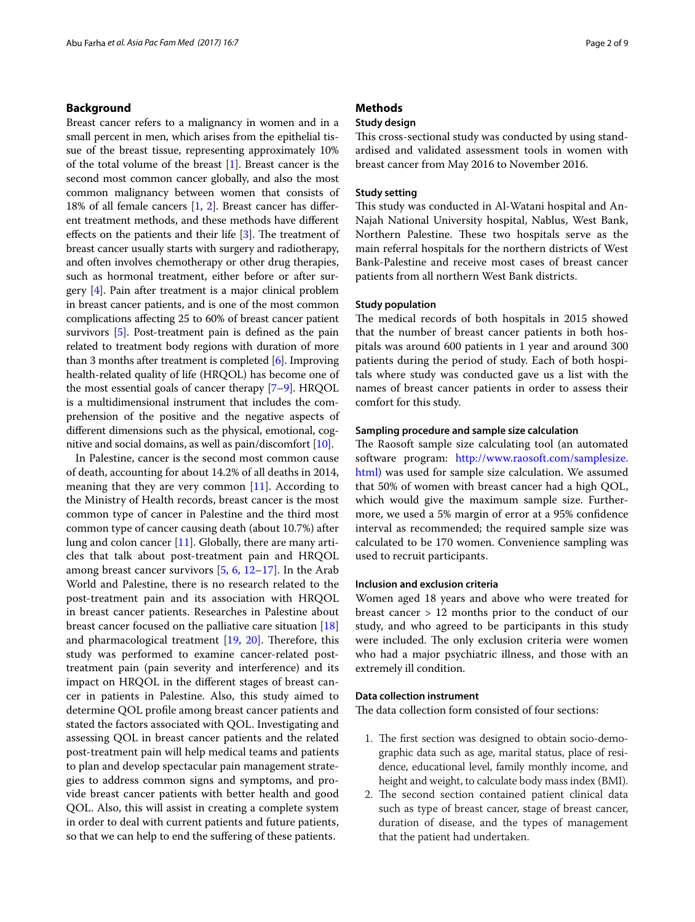## **Background**

Breast cancer refers to a malignancy in women and in a small percent in men, which arises from the epithelial tissue of the breast tissue, representing approximately 10% of the total volume of the breast [[1](#page-7-0)]. Breast cancer is the second most common cancer globally, and also the most common malignancy between women that consists of 18% of all female cancers [[1,](#page-7-0) [2](#page-7-1)]. Breast cancer has diferent treatment methods, and these methods have diferent effects on the patients and their life  $[3]$  $[3]$ . The treatment of breast cancer usually starts with surgery and radiotherapy, and often involves chemotherapy or other drug therapies, such as hormonal treatment, either before or after surgery [[4](#page-7-3)]. Pain after treatment is a major clinical problem in breast cancer patients, and is one of the most common complications afecting 25 to 60% of breast cancer patient survivors [[5](#page-7-4)]. Post-treatment pain is defned as the pain related to treatment body regions with duration of more than 3 months after treatment is completed [\[6\]](#page-7-5). Improving health-related quality of life (HRQOL) has become one of the most essential goals of cancer therapy [\[7](#page-7-6)[–9\]](#page-7-7). HRQOL is a multidimensional instrument that includes the comprehension of the positive and the negative aspects of diferent dimensions such as the physical, emotional, cognitive and social domains, as well as pain/discomfort [\[10\]](#page-7-8).

In Palestine, cancer is the second most common cause of death, accounting for about 14.2% of all deaths in 2014, meaning that they are very common  $[11]$  $[11]$ . According to the Ministry of Health records, breast cancer is the most common type of cancer in Palestine and the third most common type of cancer causing death (about 10.7%) after lung and colon cancer [[11\]](#page-7-9). Globally, there are many articles that talk about post-treatment pain and HRQOL among breast cancer survivors [[5,](#page-7-4) [6,](#page-7-5) [12–](#page-7-10)[17\]](#page-8-0). In the Arab World and Palestine, there is no research related to the post-treatment pain and its association with HRQOL in breast cancer patients. Researches in Palestine about breast cancer focused on the palliative care situation [[18](#page-8-1)] and pharmacological treatment  $[19, 20]$  $[19, 20]$  $[19, 20]$  $[19, 20]$ . Therefore, this study was performed to examine cancer-related posttreatment pain (pain severity and interference) and its impact on HRQOL in the diferent stages of breast cancer in patients in Palestine. Also, this study aimed to determine QOL profle among breast cancer patients and stated the factors associated with QOL. Investigating and assessing QOL in breast cancer patients and the related post-treatment pain will help medical teams and patients to plan and develop spectacular pain management strategies to address common signs and symptoms, and provide breast cancer patients with better health and good QOL. Also, this will assist in creating a complete system in order to deal with current patients and future patients, so that we can help to end the sufering of these patients.

## **Methods**

## **Study design**

This cross-sectional study was conducted by using standardised and validated assessment tools in women with breast cancer from May 2016 to November 2016.

#### **Study setting**

This study was conducted in Al-Watani hospital and An-Najah National University hospital, Nablus, West Bank, Northern Palestine. These two hospitals serve as the main referral hospitals for the northern districts of West Bank-Palestine and receive most cases of breast cancer patients from all northern West Bank districts.

## **Study population**

The medical records of both hospitals in 2015 showed that the number of breast cancer patients in both hospitals was around 600 patients in 1 year and around 300 patients during the period of study. Each of both hospitals where study was conducted gave us a list with the names of breast cancer patients in order to assess their comfort for this study.

## **Sampling procedure and sample size calculation**

The Raosoft sample size calculating tool (an automated software program: [http://www.raosoft.com/samplesize.](http://www.raosoft.com/samplesize.html) [html](http://www.raosoft.com/samplesize.html)) was used for sample size calculation. We assumed that 50% of women with breast cancer had a high QOL, which would give the maximum sample size. Furthermore, we used a 5% margin of error at a 95% confdence interval as recommended; the required sample size was calculated to be 170 women. Convenience sampling was used to recruit participants.

## **Inclusion and exclusion criteria**

Women aged 18 years and above who were treated for breast cancer > 12 months prior to the conduct of our study, and who agreed to be participants in this study were included. The only exclusion criteria were women who had a major psychiatric illness, and those with an extremely ill condition.

#### **Data collection instrument**

The data collection form consisted of four sections:

- 1. The first section was designed to obtain socio-demographic data such as age, marital status, place of residence, educational level, family monthly income, and height and weight, to calculate body mass index (BMI).
- 2. The second section contained patient clinical data such as type of breast cancer, stage of breast cancer, duration of disease, and the types of management that the patient had undertaken.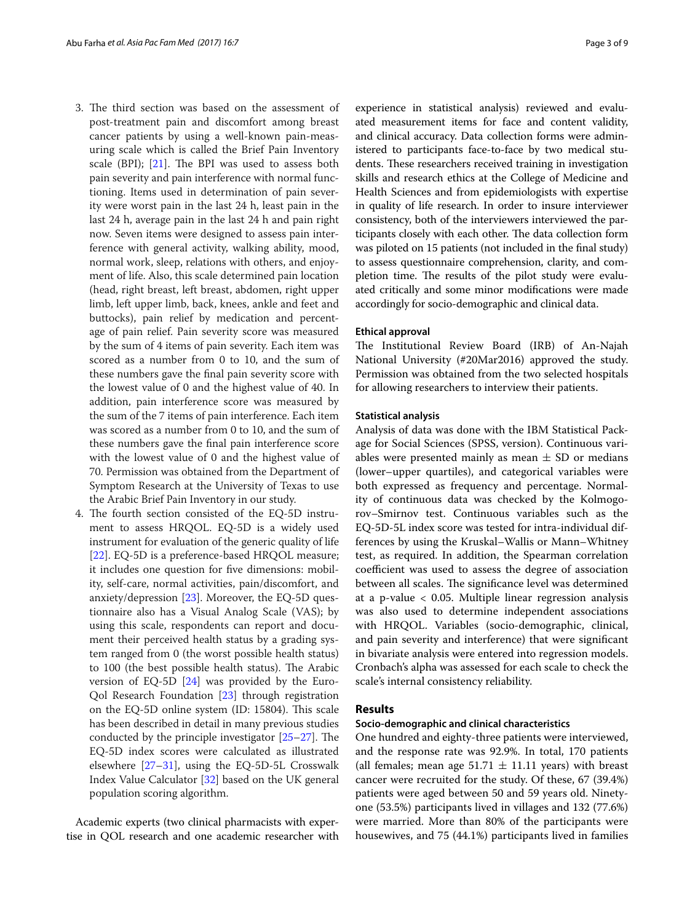- 3. The third section was based on the assessment of post-treatment pain and discomfort among breast cancer patients by using a well-known pain-measuring scale which is called the Brief Pain Inventory scale (BPI);  $[21]$  $[21]$ . The BPI was used to assess both pain severity and pain interference with normal functioning. Items used in determination of pain severity were worst pain in the last 24 h, least pain in the last 24 h, average pain in the last 24 h and pain right now. Seven items were designed to assess pain interference with general activity, walking ability, mood, normal work, sleep, relations with others, and enjoyment of life. Also, this scale determined pain location (head, right breast, left breast, abdomen, right upper limb, left upper limb, back, knees, ankle and feet and buttocks), pain relief by medication and percentage of pain relief. Pain severity score was measured by the sum of 4 items of pain severity. Each item was scored as a number from 0 to 10, and the sum of these numbers gave the fnal pain severity score with the lowest value of 0 and the highest value of 40. In addition, pain interference score was measured by the sum of the 7 items of pain interference. Each item was scored as a number from 0 to 10, and the sum of these numbers gave the fnal pain interference score with the lowest value of 0 and the highest value of 70. Permission was obtained from the Department of Symptom Research at the University of Texas to use the Arabic Brief Pain Inventory in our study.
- 4. The fourth section consisted of the EQ-5D instrument to assess HRQOL. EQ-5D is a widely used instrument for evaluation of the generic quality of life [[22\]](#page-8-5). EQ-5D is a preference-based HRQOL measure; it includes one question for fve dimensions: mobility, self-care, normal activities, pain/discomfort, and anxiety/depression [[23](#page-8-6)]. Moreover, the EQ-5D questionnaire also has a Visual Analog Scale (VAS); by using this scale, respondents can report and document their perceived health status by a grading system ranged from 0 (the worst possible health status) to 100 (the best possible health status). The Arabic version of EQ-5D [\[24\]](#page-8-7) was provided by the Euro-Qol Research Foundation [\[23](#page-8-6)] through registration on the EQ-5D online system (ID: 15804). This scale has been described in detail in many previous studies conducted by the principle investigator  $[25-27]$  $[25-27]$  $[25-27]$ . The EQ-5D index scores were calculated as illustrated elsewhere [[27–](#page-8-9)[31](#page-8-10)], using the EQ-5D-5L Crosswalk Index Value Calculator [\[32\]](#page-8-11) based on the UK general population scoring algorithm.

Academic experts (two clinical pharmacists with expertise in QOL research and one academic researcher with experience in statistical analysis) reviewed and evaluated measurement items for face and content validity, and clinical accuracy. Data collection forms were administered to participants face-to-face by two medical students. These researchers received training in investigation skills and research ethics at the College of Medicine and Health Sciences and from epidemiologists with expertise in quality of life research. In order to insure interviewer consistency, both of the interviewers interviewed the participants closely with each other. The data collection form was piloted on 15 patients (not included in the fnal study) to assess questionnaire comprehension, clarity, and completion time. The results of the pilot study were evaluated critically and some minor modifcations were made accordingly for socio-demographic and clinical data.

#### **Ethical approval**

The Institutional Review Board (IRB) of An-Najah National University (#20Mar2016) approved the study. Permission was obtained from the two selected hospitals for allowing researchers to interview their patients.

#### **Statistical analysis**

Analysis of data was done with the IBM Statistical Package for Social Sciences (SPSS, version). Continuous variables were presented mainly as mean  $\pm$  SD or medians (lower–upper quartiles), and categorical variables were both expressed as frequency and percentage. Normality of continuous data was checked by the Kolmogorov–Smirnov test. Continuous variables such as the EQ-5D-5L index score was tested for intra-individual differences by using the Kruskal–Wallis or Mann–Whitney test, as required. In addition, the Spearman correlation coefficient was used to assess the degree of association between all scales. The significance level was determined at a p-value  $< 0.05$ . Multiple linear regression analysis was also used to determine independent associations with HRQOL. Variables (socio-demographic, clinical, and pain severity and interference) that were signifcant in bivariate analysis were entered into regression models. Cronbach's alpha was assessed for each scale to check the scale's internal consistency reliability.

#### **Results**

## **Socio‑demographic and clinical characteristics**

One hundred and eighty-three patients were interviewed, and the response rate was 92.9%. In total, 170 patients (all females; mean age  $51.71 \pm 11.11$  years) with breast cancer were recruited for the study. Of these, 67 (39.4%) patients were aged between 50 and 59 years old. Ninetyone (53.5%) participants lived in villages and 132 (77.6%) were married. More than 80% of the participants were housewives, and 75 (44.1%) participants lived in families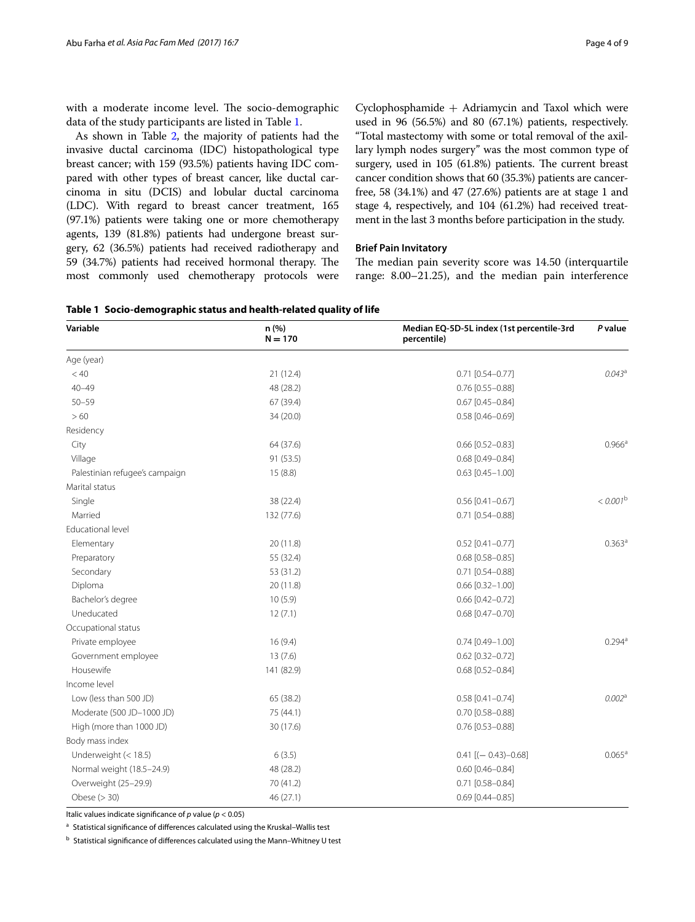with a moderate income level. The socio-demographic data of the study participants are listed in Table [1.](#page-3-0)

As shown in Table [2,](#page-4-0) the majority of patients had the invasive ductal carcinoma (IDC) histopathological type breast cancer; with 159 (93.5%) patients having IDC compared with other types of breast cancer, like ductal carcinoma in situ (DCIS) and lobular ductal carcinoma (LDC). With regard to breast cancer treatment, 165 (97.1%) patients were taking one or more chemotherapy agents, 139 (81.8%) patients had undergone breast surgery, 62 (36.5%) patients had received radiotherapy and 59 (34.7%) patients had received hormonal therapy. The most commonly used chemotherapy protocols were

Cyclophosphamide  $+$  Adriamycin and Taxol which were used in 96 (56.5%) and 80 (67.1%) patients, respectively. "Total mastectomy with some or total removal of the axillary lymph nodes surgery" was the most common type of surgery, used in 105 (61.8%) patients. The current breast cancer condition shows that 60 (35.3%) patients are cancerfree, 58 (34.1%) and 47 (27.6%) patients are at stage 1 and stage 4, respectively, and 104 (61.2%) had received treatment in the last 3 months before participation in the study.

## **Brief Pain Invitatory**

The median pain severity score was 14.50 (interquartile range: 8.00–21.25), and the median pain interference

<span id="page-3-0"></span>

|  | Table 1 Socio-demographic status and health-related quality of life |  |
|--|---------------------------------------------------------------------|--|
|--|---------------------------------------------------------------------|--|

| Variable                       | n(%)<br>$N = 170$ | Median EQ-5D-5L index (1st percentile-3rd<br>percentile) | P value              |
|--------------------------------|-------------------|----------------------------------------------------------|----------------------|
| Age (year)                     |                   |                                                          |                      |
| < 40                           | 21(12.4)          | $0.71$ [0.54-0.77]                                       | $0.043^{\circ}$      |
| $40 - 49$                      | 48 (28.2)         | $0.76$ [0.55-0.88]                                       |                      |
| $50 - 59$                      | 67 (39.4)         | $0.67$ [0.45-0.84]                                       |                      |
| >60                            | 34 (20.0)         | $0.58$ [0.46-0.69]                                       |                      |
| Residency                      |                   |                                                          |                      |
| City                           | 64 (37.6)         | $0.66$ [0.52-0.83]                                       | $0.966^{\text{a}}$   |
| Village                        | 91 (53.5)         | $0.68$ [0.49-0.84]                                       |                      |
| Palestinian refugee's campaign | 15(8.8)           | $0.63$ [0.45-1.00]                                       |                      |
| Marital status                 |                   |                                                          |                      |
| Single                         | 38 (22.4)         | $0.56$ [0.41-0.67]                                       | $< 0.001^{\rm b}$    |
| Married                        | 132 (77.6)        | $0.71$ [0.54-0.88]                                       |                      |
| <b>Educational level</b>       |                   |                                                          |                      |
| Elementary                     | 20 (11.8)         | $0.52$ [0.41-0.77]                                       | $0.363$ <sup>a</sup> |
| Preparatory                    | 55 (32.4)         | $0.68$ [0.58-0.85]                                       |                      |
| Secondary                      | 53 (31.2)         | $0.71$ [0.54-0.88]                                       |                      |
| Diploma                        | 20(11.8)          | $0.66$ [0.32-1.00]                                       |                      |
| Bachelor's degree              | 10(5.9)           | 0.66 [0.42-0.72]                                         |                      |
| Uneducated                     | 12(7.1)           | $0.68$ [0.47-0.70]                                       |                      |
| Occupational status            |                   |                                                          |                      |
| Private employee               | 16(9.4)           | $0.74$ [0.49-1.00]                                       | $0.294^{a}$          |
| Government employee            | 13(7.6)           | $0.62$ [0.32-0.72]                                       |                      |
| Housewife                      | 141 (82.9)        | $0.68$ [0.52-0.84]                                       |                      |
| Income level                   |                   |                                                          |                      |
| Low (less than 500 JD)         | 65 (38.2)         | $0.58$ [0.41-0.74]                                       | 0.002 <sup>a</sup>   |
| Moderate (500 JD-1000 JD)      | 75 (44.1)         | $0.70$ [0.58-0.88]                                       |                      |
| High (more than 1000 JD)       | 30 (17.6)         | $0.76$ [0.53-0.88]                                       |                      |
| Body mass index                |                   |                                                          |                      |
| Underweight (< 18.5)           | 6(3.5)            | $0.41$ [(-0.43)-0.68]                                    | 0.065a               |
| Normal weight (18.5-24.9)      | 48 (28.2)         | $0.60$ [0.46-0.84]                                       |                      |
| Overweight (25-29.9)           | 70 (41.2)         | $0.71$ [0.58-0.84]                                       |                      |
| Obese $(> 30)$                 | 46 (27.1)         | $0.69$ [0.44-0.85]                                       |                      |

Italic values indicate signifcance of *p* value (*p* < 0.05)

a Statistical significance of differences calculated using the Kruskal–Wallis test

 $<sup>b</sup>$  Statistical significance of differences calculated using the Mann–Whitney U test</sup>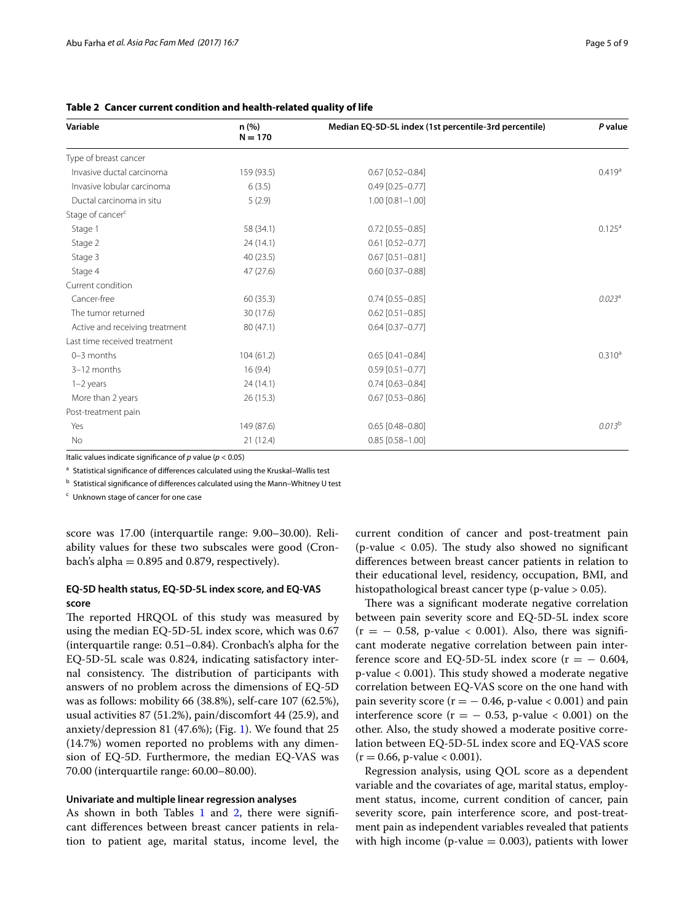| Variable                       | n (%)<br>$N = 170$ | Median EQ-5D-5L index (1st percentile-3rd percentile) | P value            |
|--------------------------------|--------------------|-------------------------------------------------------|--------------------|
| Type of breast cancer          |                    |                                                       |                    |
| Invasive ductal carcinoma      | 159 (93.5)         | $0.67$ [0.52-0.84]                                    | 0.419a             |
| Invasive lobular carcinoma     | 6(3.5)             | $0.49$ [0.25-0.77]                                    |                    |
| Ductal carcinoma in situ       | 5(2.9)             | $1.00$ $[0.81 - 1.00]$                                |                    |
| Stage of cancer <sup>c</sup>   |                    |                                                       |                    |
| Stage 1                        | 58 (34.1)          | $0.72$ [0.55-0.85]                                    | $0.125^{\text{a}}$ |
| Stage 2                        | 24(14.1)           | $0.61$ [0.52-0.77]                                    |                    |
| Stage 3                        | 40(23.5)           | $0.67$ [0.51-0.81]                                    |                    |
| Stage 4                        | 47(27.6)           | $0.60$ [0.37-0.88]                                    |                    |
| Current condition              |                    |                                                       |                    |
| Cancer-free                    | 60(35.3)           | $0.74$ [0.55-0.85]                                    | $0.023^{\rm a}$    |
| The tumor returned             | 30 (17.6)          | $0.62$ [0.51-0.85]                                    |                    |
| Active and receiving treatment | 80 (47.1)          | $0.64$ [0.37-0.77]                                    |                    |
| Last time received treatment   |                    |                                                       |                    |
| $0-3$ months                   | 104(61.2)          | $0.65$ [0.41-0.84]                                    | $0.310^a$          |
| 3-12 months                    | 16(9.4)            | $0.59$ [0.51-0.77]                                    |                    |
| $1-2$ years                    | 24(14.1)           | $0.74$ [0.63-0.84]                                    |                    |
| More than 2 years              | 26(15.3)           | $0.67$ [0.53-0.86]                                    |                    |
| Post-treatment pain            |                    |                                                       |                    |
| Yes                            | 149 (87.6)         | $0.65$ [0.48-0.80]                                    | 0.013 <sup>b</sup> |
| No                             | 21(12.4)           | $0.85$ [0.58-1.00]                                    |                    |

<span id="page-4-0"></span>**Table 2 Cancer current condition and health-related quality of life**

Italic values indicate signifcance of *p* value (*p* < 0.05)

a Statistical significance of differences calculated using the Kruskal-Wallis test

 $<sup>b</sup>$  Statistical significance of differences calculated using the Mann–Whitney U test</sup>

<sup>c</sup> Unknown stage of cancer for one case

score was 17.00 (interquartile range: 9.00–30.00). Reliability values for these two subscales were good (Cronbach's alpha  $= 0.895$  and 0.879, respectively).

## **EQ‑5D health status, EQ‑5D‑5L index score, and EQ‑VAS score**

The reported HRQOL of this study was measured by using the median EQ-5D-5L index score, which was 0.67 (interquartile range: 0.51–0.84). Cronbach's alpha for the EQ-5D-5L scale was 0.824, indicating satisfactory internal consistency. The distribution of participants with answers of no problem across the dimensions of EQ-5D was as follows: mobility 66 (38.8%), self-care 107 (62.5%), usual activities 87 (51.2%), pain/discomfort 44 (25.9), and anxiety/depression 81 (47.6%); (Fig. [1](#page-5-0)). We found that 25 (14.7%) women reported no problems with any dimension of EQ-5D. Furthermore, the median EQ-VAS was 70.00 (interquartile range: 60.00–80.00).

## **Univariate and multiple linear regression analyses**

As shown in both Tables [1](#page-3-0) and [2](#page-4-0), there were significant diferences between breast cancer patients in relation to patient age, marital status, income level, the

current condition of cancer and post-treatment pain (p-value  $< 0.05$ ). The study also showed no significant diferences between breast cancer patients in relation to their educational level, residency, occupation, BMI, and histopathological breast cancer type (p-value > 0.05).

There was a significant moderate negative correlation between pain severity score and EQ-5D-5L index score  $(r = -0.58, p-value < 0.001)$ . Also, there was significant moderate negative correlation between pain interference score and EQ-5D-5L index score ( $r = -0.604$ , p-value < 0.001). This study showed a moderate negative correlation between EQ-VAS score on the one hand with pain severity score ( $r = -0.46$ , p-value < 0.001) and pain interference score ( $r = -0.53$ , p-value < 0.001) on the other. Also, the study showed a moderate positive correlation between EQ-5D-5L index score and EQ-VAS score  $(r = 0.66, p-value < 0.001)$ .

Regression analysis, using QOL score as a dependent variable and the covariates of age, marital status, employment status, income, current condition of cancer, pain severity score, pain interference score, and post-treatment pain as independent variables revealed that patients with high income (p-value  $= 0.003$ ), patients with lower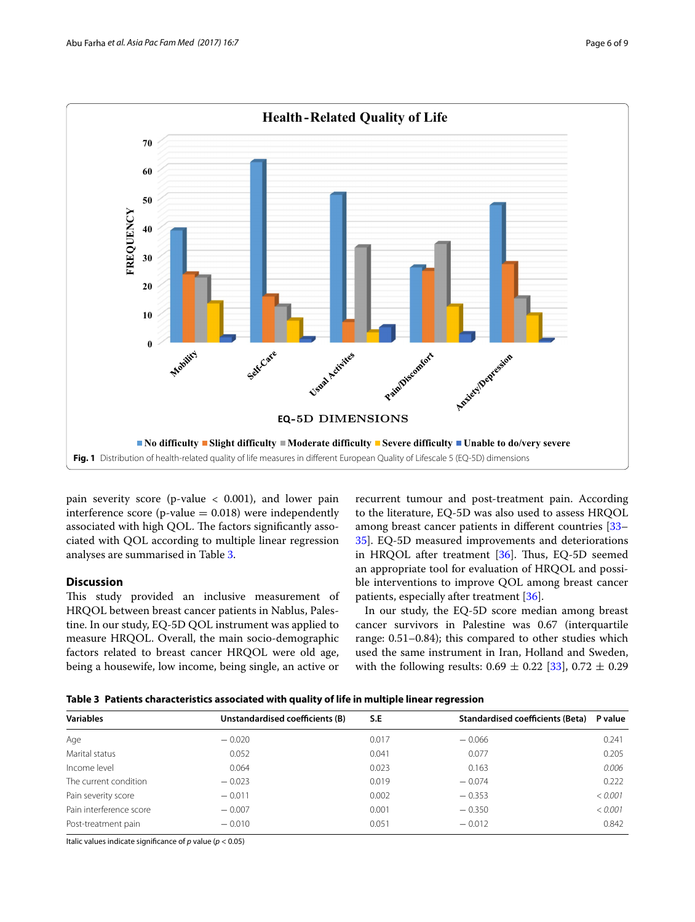

<span id="page-5-0"></span>pain severity score (p-value  $<$  0.001), and lower pain interference score (p-value  $= 0.018$ ) were independently associated with high QOL. The factors significantly associated with QOL according to multiple linear regression analyses are summarised in Table [3.](#page-5-1)

## **Discussion**

This study provided an inclusive measurement of HRQOL between breast cancer patients in Nablus, Palestine. In our study, EQ-5D QOL instrument was applied to measure HRQOL. Overall, the main socio-demographic factors related to breast cancer HRQOL were old age, being a housewife, low income, being single, an active or

recurrent tumour and post-treatment pain. According to the literature, EQ-5D was also used to assess HRQOL among breast cancer patients in diferent countries [[33–](#page-8-12) [35\]](#page-8-13). EQ-5D measured improvements and deteriorations in HRQOL after treatment  $[36]$  $[36]$ . Thus, EQ-5D seemed an appropriate tool for evaluation of HRQOL and possible interventions to improve QOL among breast cancer patients, especially after treatment [\[36\]](#page-8-14).

In our study, the EQ-5D score median among breast cancer survivors in Palestine was 0.67 (interquartile range: 0.51–0.84); this compared to other studies which used the same instrument in Iran, Holland and Sweden, with the following results:  $0.69 \pm 0.22$  [[33\]](#page-8-12),  $0.72 \pm 0.29$ 

<span id="page-5-1"></span>

| <b>Variables</b>        | Unstandardised coefficients (B) | S.E   | Standardised coefficients (Beta) | P value |
|-------------------------|---------------------------------|-------|----------------------------------|---------|
| Age                     | $-0.020$                        | 0.017 | $-0.066$                         | 0.241   |
| Marital status          | 0.052                           | 0.041 | 0.077                            | 0.205   |
| Income level            | 0.064                           | 0.023 | 0.163                            | 0.006   |
| The current condition   | $-0.023$                        | 0.019 | $-0.074$                         | 0.222   |
| Pain severity score     | $-0.011$                        | 0.002 | $-0.353$                         | < 0.001 |
| Pain interference score | $-0.007$                        | 0.001 | $-0.350$                         | < 0.001 |
| Post-treatment pain     | $-0.010$                        | 0.051 | $-0.012$                         | 0.842   |
|                         |                                 |       |                                  |         |

Italic values indicate signifcance of *p* value (*p* < 0.05)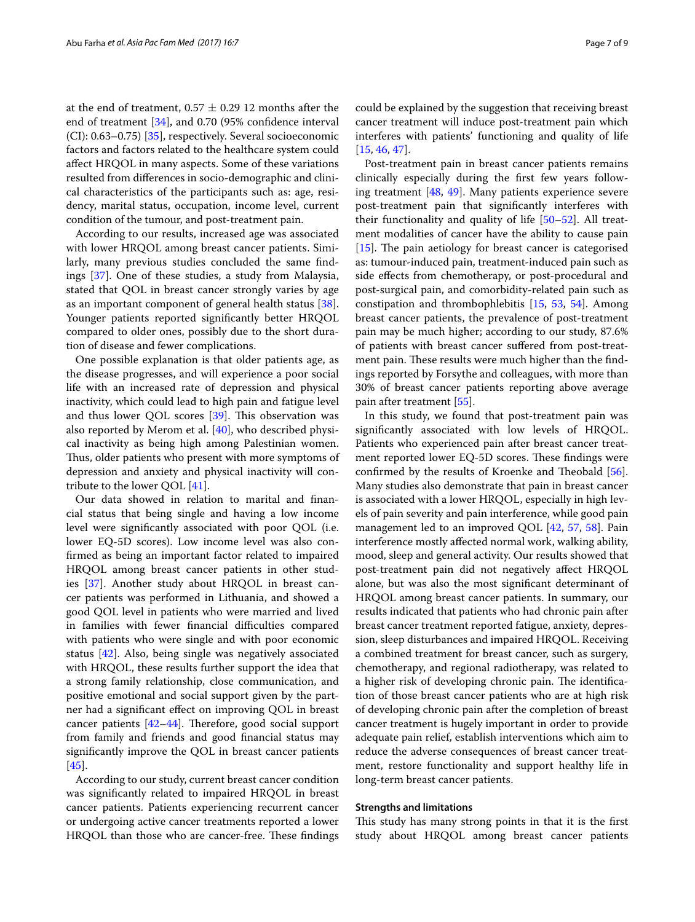at the end of treatment,  $0.57 \pm 0.29$  12 months after the end of treatment [[34](#page-8-15)], and 0.70 (95% confdence interval (CI): 0.63–0.75) [[35\]](#page-8-13), respectively. Several socioeconomic factors and factors related to the healthcare system could afect HRQOL in many aspects. Some of these variations resulted from diferences in socio-demographic and clinical characteristics of the participants such as: age, residency, marital status, occupation, income level, current condition of the tumour, and post-treatment pain.

According to our results, increased age was associated with lower HRQOL among breast cancer patients. Similarly, many previous studies concluded the same fndings [[37](#page-8-16)]. One of these studies, a study from Malaysia, stated that QOL in breast cancer strongly varies by age as an important component of general health status [\[38](#page-8-17)]. Younger patients reported signifcantly better HRQOL compared to older ones, possibly due to the short duration of disease and fewer complications.

One possible explanation is that older patients age, as the disease progresses, and will experience a poor social life with an increased rate of depression and physical inactivity, which could lead to high pain and fatigue level and thus lower QOL scores  $[39]$  $[39]$ . This observation was also reported by Merom et al. [[40\]](#page-8-19), who described physical inactivity as being high among Palestinian women. Thus, older patients who present with more symptoms of depression and anxiety and physical inactivity will contribute to the lower QOL [[41](#page-8-20)].

Our data showed in relation to marital and fnancial status that being single and having a low income level were signifcantly associated with poor QOL (i.e. lower EQ-5D scores). Low income level was also confrmed as being an important factor related to impaired HRQOL among breast cancer patients in other studies [[37\]](#page-8-16). Another study about HRQOL in breast cancer patients was performed in Lithuania, and showed a good QOL level in patients who were married and lived in families with fewer financial difficulties compared with patients who were single and with poor economic status [\[42](#page-8-21)]. Also, being single was negatively associated with HRQOL, these results further support the idea that a strong family relationship, close communication, and positive emotional and social support given by the partner had a signifcant efect on improving QOL in breast cancer patients  $[42-44]$  $[42-44]$  $[42-44]$ . Therefore, good social support from family and friends and good fnancial status may signifcantly improve the QOL in breast cancer patients [[45\]](#page-8-23).

According to our study, current breast cancer condition was signifcantly related to impaired HRQOL in breast cancer patients. Patients experiencing recurrent cancer or undergoing active cancer treatments reported a lower HRQOL than those who are cancer-free. These findings could be explained by the suggestion that receiving breast cancer treatment will induce post-treatment pain which interferes with patients' functioning and quality of life [[15,](#page-7-11) [46](#page-8-24), [47\]](#page-8-25).

Post-treatment pain in breast cancer patients remains clinically especially during the frst few years following treatment [\[48,](#page-8-26) [49](#page-8-27)]. Many patients experience severe post-treatment pain that signifcantly interferes with their functionality and quality of life [[50](#page-8-28)[–52](#page-8-29)]. All treatment modalities of cancer have the ability to cause pain  $[15]$  $[15]$ . The pain aetiology for breast cancer is categorised as: tumour-induced pain, treatment-induced pain such as side efects from chemotherapy, or post-procedural and post-surgical pain, and comorbidity-related pain such as constipation and thrombophlebitis [[15,](#page-7-11) [53,](#page-8-30) [54\]](#page-8-31). Among breast cancer patients, the prevalence of post-treatment pain may be much higher; according to our study, 87.6% of patients with breast cancer sufered from post-treatment pain. These results were much higher than the findings reported by Forsythe and colleagues, with more than 30% of breast cancer patients reporting above average pain after treatment [\[55\]](#page-8-32).

In this study, we found that post-treatment pain was signifcantly associated with low levels of HRQOL. Patients who experienced pain after breast cancer treatment reported lower EQ-5D scores. These findings were confirmed by the results of Kroenke and Theobald  $[56]$  $[56]$ . Many studies also demonstrate that pain in breast cancer is associated with a lower HRQOL, especially in high levels of pain severity and pain interference, while good pain management led to an improved QOL [\[42](#page-8-21), [57,](#page-8-34) [58\]](#page-8-35). Pain interference mostly afected normal work, walking ability, mood, sleep and general activity. Our results showed that post-treatment pain did not negatively afect HRQOL alone, but was also the most signifcant determinant of HRQOL among breast cancer patients. In summary, our results indicated that patients who had chronic pain after breast cancer treatment reported fatigue, anxiety, depression, sleep disturbances and impaired HRQOL. Receiving a combined treatment for breast cancer, such as surgery, chemotherapy, and regional radiotherapy, was related to a higher risk of developing chronic pain. The identification of those breast cancer patients who are at high risk of developing chronic pain after the completion of breast cancer treatment is hugely important in order to provide adequate pain relief, establish interventions which aim to reduce the adverse consequences of breast cancer treatment, restore functionality and support healthy life in long-term breast cancer patients.

#### **Strengths and limitations**

This study has many strong points in that it is the first study about HRQOL among breast cancer patients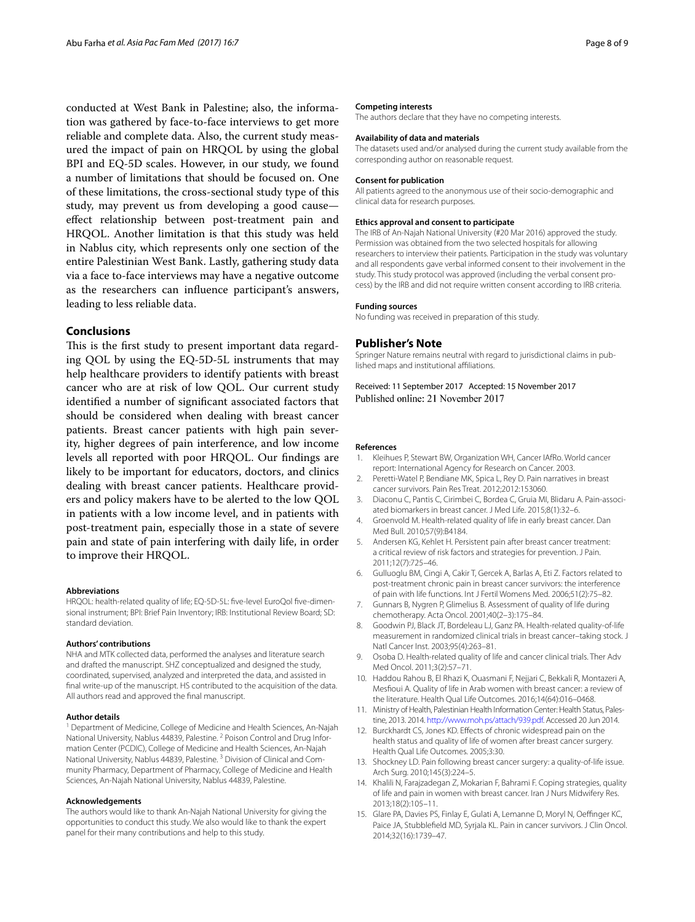conducted at West Bank in Palestine; also, the information was gathered by face-to-face interviews to get more reliable and complete data. Also, the current study measured the impact of pain on HRQOL by using the global BPI and EQ-5D scales. However, in our study, we found a number of limitations that should be focused on. One of these limitations, the cross-sectional study type of this study, may prevent us from developing a good cause efect relationship between post-treatment pain and HRQOL. Another limitation is that this study was held in Nablus city, which represents only one section of the entire Palestinian West Bank. Lastly, gathering study data via a face to-face interviews may have a negative outcome as the researchers can infuence participant's answers, leading to less reliable data.

#### **Conclusions**

This is the first study to present important data regarding QOL by using the EQ-5D-5L instruments that may help healthcare providers to identify patients with breast cancer who are at risk of low QOL. Our current study identifed a number of signifcant associated factors that should be considered when dealing with breast cancer patients. Breast cancer patients with high pain severity, higher degrees of pain interference, and low income levels all reported with poor HRQOL. Our fndings are likely to be important for educators, doctors, and clinics dealing with breast cancer patients. Healthcare providers and policy makers have to be alerted to the low QOL in patients with a low income level, and in patients with post-treatment pain, especially those in a state of severe pain and state of pain interfering with daily life, in order to improve their HRQOL.

#### **Abbreviations**

HRQOL: health-related quality of life; EQ-5D-5L: fve-level EuroQol fve-dimensional instrument; BPI: Brief Pain Inventory; IRB: Institutional Review Board; SD: standard deviation.

#### **Authors' contributions**

NHA and MTK collected data, performed the analyses and literature search and drafted the manuscript. SHZ conceptualized and designed the study, coordinated, supervised, analyzed and interpreted the data, and assisted in fnal write-up of the manuscript. HS contributed to the acquisition of the data. All authors read and approved the fnal manuscript.

#### **Author details**

<sup>1</sup> Department of Medicine, College of Medicine and Health Sciences, An-Najah National University, Nablus 44839, Palestine.<sup>2</sup> Poison Control and Drug Information Center (PCDIC), College of Medicine and Health Sciences, An-Najah National University, Nablus 44839, Palestine. 3 Division of Clinical and Community Pharmacy, Department of Pharmacy, College of Medicine and Health Sciences, An-Najah National University, Nablus 44839, Palestine.

#### **Acknowledgements**

The authors would like to thank An-Najah National University for giving the opportunities to conduct this study. We also would like to thank the expert panel for their many contributions and help to this study.

#### **Competing interests**

The authors declare that they have no competing interests.

#### **Availability of data and materials**

The datasets used and/or analysed during the current study available from the corresponding author on reasonable request.

#### **Consent for publication**

All patients agreed to the anonymous use of their socio-demographic and clinical data for research purposes.

#### **Ethics approval and consent to participate**

The IRB of An-Najah National University (#20 Mar 2016) approved the study. Permission was obtained from the two selected hospitals for allowing researchers to interview their patients. Participation in the study was voluntary and all respondents gave verbal informed consent to their involvement in the study. This study protocol was approved (including the verbal consent process) by the IRB and did not require written consent according to IRB criteria.

#### **Funding sources**

No funding was received in preparation of this study.

#### **Publisher's Note**

Springer Nature remains neutral with regard to jurisdictional claims in published maps and institutional afliations.

Received: 11 September 2017 Accepted: 15 November 2017 Published online: 21 November 2017

#### **References**

- <span id="page-7-0"></span>1. Kleihues P, Stewart BW, Organization WH, Cancer IAfRo. World cancer report: International Agency for Research on Cancer. 2003.
- <span id="page-7-1"></span>2. Peretti-Watel P, Bendiane MK, Spica L, Rey D. Pain narratives in breast cancer survivors. Pain Res Treat. 2012;2012:153060.
- <span id="page-7-2"></span>3. Diaconu C, Pantis C, Cirimbei C, Bordea C, Gruia MI, Blidaru A. Pain-associated biomarkers in breast cancer. J Med Life. 2015;8(1):32–6.
- <span id="page-7-3"></span>4. Groenvold M. Health-related quality of life in early breast cancer. Dan Med Bull. 2010;57(9):B4184.
- <span id="page-7-4"></span>5. Andersen KG, Kehlet H. Persistent pain after breast cancer treatment: a critical review of risk factors and strategies for prevention. J Pain. 2011;12(7):725–46.
- <span id="page-7-5"></span>6. Gulluoglu BM, Cingi A, Cakir T, Gercek A, Barlas A, Eti Z. Factors related to post-treatment chronic pain in breast cancer survivors: the interference of pain with life functions. Int J Fertil Womens Med. 2006;51(2):75–82.
- <span id="page-7-6"></span>7. Gunnars B, Nygren P, Glimelius B. Assessment of quality of life during chemotherapy. Acta Oncol. 2001;40(2–3):175–84.
- 8. Goodwin PJ, Black JT, Bordeleau LJ, Ganz PA. Health-related quality-of-life measurement in randomized clinical trials in breast cancer–taking stock. J Natl Cancer Inst. 2003;95(4):263–81.
- <span id="page-7-7"></span>9. Osoba D. Health-related quality of life and cancer clinical trials. Ther Adv Med Oncol. 2011;3(2):57–71.
- <span id="page-7-8"></span>10. Haddou Rahou B, El Rhazi K, Ouasmani F, Nejjari C, Bekkali R, Montazeri A, Mesfoui A. Quality of life in Arab women with breast cancer: a review of the literature. Health Qual Life Outcomes. 2016;14(64):016–0468.
- <span id="page-7-9"></span>11. Ministry of Health, Palestinian Health Information Center: Health Status, Palestine, 2013. 2014.<http://www.moh.ps/attach/939.pdf>. Accessed 20 Jun 2014.
- <span id="page-7-10"></span>12. Burckhardt CS, Jones KD. Effects of chronic widespread pain on the health status and quality of life of women after breast cancer surgery. Health Qual Life Outcomes. 2005;3:30.
- 13. Shockney LD. Pain following breast cancer surgery: a quality-of-life issue. Arch Surg. 2010;145(3):224–5.
- 14. Khalili N, Farajzadegan Z, Mokarian F, Bahrami F. Coping strategies, quality of life and pain in women with breast cancer. Iran J Nurs Midwifery Res. 2013;18(2):105–11.
- <span id="page-7-11"></span>15. Glare PA, Davies PS, Finlay E, Gulati A, Lemanne D, Moryl N, Oeffinger KC, Paice JA, Stubblefeld MD, Syrjala KL. Pain in cancer survivors. J Clin Oncol. 2014;32(16):1739–47.